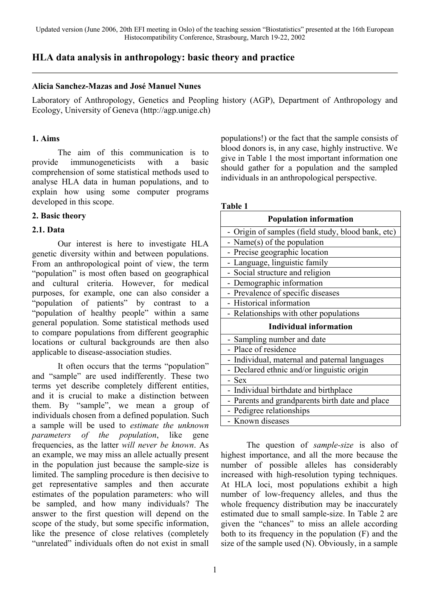# **HLA data analysis in anthropology: basic theory and practice**

### **Alicia Sanchez-Mazas and José Manuel Nunes**

Laboratory of Anthropology, Genetics and Peopling history (AGP), Department of Anthropology and Ecology, University of Geneva (http://agp.unige.ch)

## **1. Aims**

The aim of this communication is to provide immunogeneticists with a basic comprehension of some statistical methods used to analyse HLA data in human populations, and to explain how using some computer programs developed in this scope.

### **2. Basic theory**

#### **2.1. Data**

Our interest is here to investigate HLA genetic diversity within and between populations. From an anthropological point of view, the term "population" is most often based on geographical and cultural criteria. However, for medical purposes, for example, one can also consider a "population of patients" by contrast to a "population of healthy people" within a same general population. Some statistical methods used to compare populations from different geographic locations or cultural backgrounds are then also applicable to disease-association studies.

It often occurs that the terms "population" and "sample" are used indifferently. These two terms yet describe completely different entities, and it is crucial to make a distinction between them. By "sample", we mean a group of individuals chosen from a defined population. Such a sample will be used to *estimate the unknown parameters of the population*, like gene frequencies, as the latter *will never be known*. As an example, we may miss an allele actually present in the population just because the sample-size is limited. The sampling procedure is then decisive to get representative samples and then accurate estimates of the population parameters: who will be sampled, and how many individuals? The answer to the first question will depend on the scope of the study, but some specific information, like the presence of close relatives (completely "unrelated" individuals often do not exist in small

populations!) or the fact that the sample consists of blood donors is, in any case, highly instructive. We give in Table 1 the most important information one should gather for a population and the sampled individuals in an anthropological perspective.

| H |  |
|---|--|
|   |  |

| <b>Population information</b>                      |  |  |  |  |
|----------------------------------------------------|--|--|--|--|
| - Origin of samples (field study, blood bank, etc) |  |  |  |  |
| - Name(s) of the population                        |  |  |  |  |
| - Precise geographic location                      |  |  |  |  |
| - Language, linguistic family                      |  |  |  |  |
| - Social structure and religion                    |  |  |  |  |
| - Demographic information                          |  |  |  |  |
| - Prevalence of specific diseases                  |  |  |  |  |
| - Historical information                           |  |  |  |  |
| - Relationships with other populations             |  |  |  |  |
| <b>Individual information</b>                      |  |  |  |  |
| - Sampling number and date                         |  |  |  |  |
| - Place of residence                               |  |  |  |  |
| - Individual, maternal and paternal languages      |  |  |  |  |
| - Declared ethnic and/or linguistic origin         |  |  |  |  |
| - Sex                                              |  |  |  |  |
| - Individual birthdate and birthplace              |  |  |  |  |
| - Parents and grandparents birth date and place    |  |  |  |  |
| - Pedigree relationships                           |  |  |  |  |
| - Known diseases                                   |  |  |  |  |

The question of *sample-size* is also of highest importance, and all the more because the number of possible alleles has considerably increased with high-resolution typing techniques. At HLA loci, most populations exhibit a high number of low-frequency alleles, and thus the whole frequency distribution may be inaccurately estimated due to small sample-size. In Table 2 are given the "chances" to miss an allele according both to its frequency in the population (F) and the size of the sample used (N). Obviously, in a sample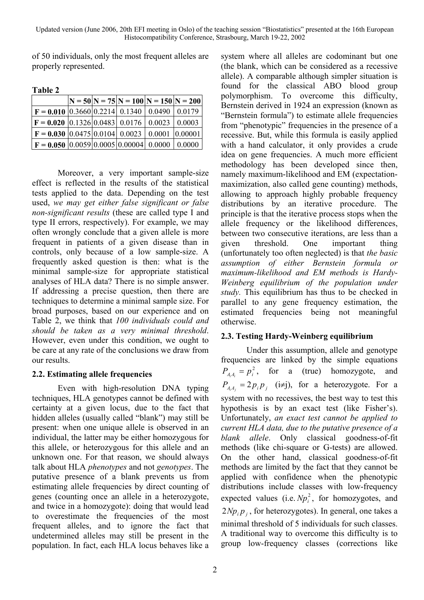of 50 individuals, only the most frequent alleles are properly represented.

| mı<br>и |  |
|---------|--|
|---------|--|

|                                                                                                |  |  | $ N = 50 N = 75 N = 100 N = 150 N = 200 $ |  |  |  |  |
|------------------------------------------------------------------------------------------------|--|--|-------------------------------------------|--|--|--|--|
| $\mid$ F = 0.010 $\mid$ 0.3660 $\mid$ 0.2214 $\mid$ 0.1340 $\mid$ 0.0490 $\mid$ 0.0179         |  |  |                                           |  |  |  |  |
| $\mathbf{F} = 0.020$   0.1326   0.0483   0.0176   0.0023   0.0003                              |  |  |                                           |  |  |  |  |
| $\mid$ F = 0.030 $\mid$ 0.0475 $\mid$ 0.0104 $\mid$ 0.0023 $\mid$ 0.0001 $\mid$ 0.00001        |  |  |                                           |  |  |  |  |
| $\mid$ F = 0.050 $\mid$ 0.0059 $\mid$ 0.0005 $\mid$ 0.00004 $\mid$ 0.0000 $\mid$ 0.0000 $\mid$ |  |  |                                           |  |  |  |  |

Moreover, a very important sample-size effect is reflected in the results of the statistical tests applied to the data. Depending on the test used, *we may get either false significant or false non-significant results* (these are called type I and type II errors, respectively). For example, we may often wrongly conclude that a given allele is more frequent in patients of a given disease than in controls, only because of a low sample-size. A frequently asked question is then: what is the minimal sample-size for appropriate statistical analyses of HLA data? There is no simple answer. If addressing a precise question, then there are techniques to determine a minimal sample size. For broad purposes, based on our experience and on Table 2, we think that *100 individuals could and should be taken as a very minimal threshold*. However, even under this condition, we ought to be care at any rate of the conclusions we draw from our results.

## **2.2. Estimating allele frequencies**

Even with high-resolution DNA typing techniques, HLA genotypes cannot be defined with certainty at a given locus, due to the fact that hidden alleles (usually called "blank") may still be present: when one unique allele is observed in an individual, the latter may be either homozygous for this allele, or heterozygous for this allele and an unknown one. For that reason, we should always talk about HLA *phenotypes* and not *genotypes*. The putative presence of a blank prevents us from estimating allele frequencies by direct counting of genes (counting once an allele in a heterozygote, and twice in a homozygote): doing that would lead to overestimate the frequencies of the most frequent alleles, and to ignore the fact that undetermined alleles may still be present in the population. In fact, each HLA locus behaves like a

system where all alleles are codominant but one (the blank, which can be considered as a recessive allele). A comparable although simpler situation is found for the classical ABO blood group polymorphism. To overcome this difficulty, Bernstein derived in 1924 an expression (known as "Bernstein formula") to estimate allele frequencies from "phenotypic" frequencies in the presence of a recessive. But, while this formula is easily applied with a hand calculator, it only provides a crude idea on gene frequencies. A much more efficient methodology has been developed since then, namely maximum-likelihood and EM (expectationmaximization, also called gene counting) methods, allowing to approach highly probable frequency distributions by an iterative procedure. The principle is that the iterative process stops when the allele frequency or the likelihood differences, between two consecutive iterations, are less than a given threshold. One important thing (unfortunately too often neglected) is that *the basic assumption of either Bernstein formula or maximum-likelihood and EM methods is Hardy-Weinberg equilibrium of the population under study.* This equilibrium has thus to be checked in parallel to any gene frequency estimation, the estimated frequencies being not meaningful otherwise.

# **2.3. Testing Hardy-Weinberg equilibrium**

Under this assumption, allele and genotype frequencies are linked by the simple equations  $P_{A_i A_i} = p_i^2$ , for a (true) homozygote, and  $P_{A_iA_i} = 2p_i p_i$  (i≠j), for a heterozygote. For a system with no recessives, the best way to test this hypothesis is by an exact test (like Fisher's). Unfortunately, *an exact test cannot be applied to current HLA data, due to the putative presence of a blank allele*. Only classical goodness-of-fit methods (like chi-square or G-tests) are allowed. On the other hand, classical goodness-of-fit methods are limited by the fact that they cannot be applied with confidence when the phenotypic distributions include classes with low-frequency expected values (i.e.  $Np_i^2$ , for homozygotes, and  $2Np_i p_j$ , for heterozygotes). In general, one takes a minimal threshold of 5 individuals for such classes. A traditional way to overcome this difficulty is to group low-frequency classes (corrections like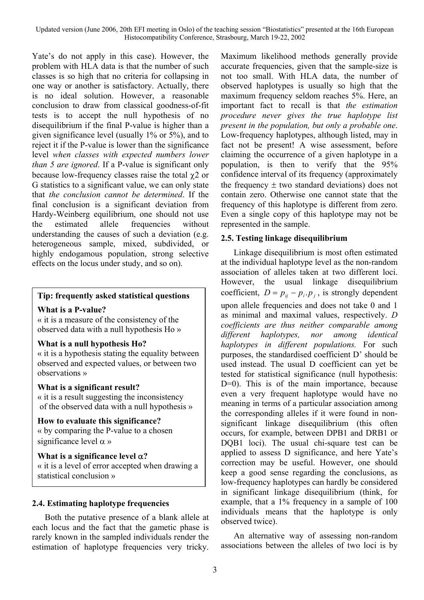Yate's do not apply in this case). However, the problem with HLA data is that the number of such classes is so high that no criteria for collapsing in one way or another is satisfactory. Actually, there is no ideal solution. However, a reasonable conclusion to draw from classical goodness-of-fit tests is to accept the null hypothesis of no disequilibrium if the final P-value is higher than a given significance level (usually 1% or 5%), and to reject it if the P-value is lower than the significance level *when classes with expected numbers lower than 5 are ignored*. If a P-value is significant only because low-frequency classes raise the total  $\chi$ 2 or G statistics to a significant value, we can only state that *the conclusion cannot be determined*. If the final conclusion is a significant deviation from Hardy-Weinberg equilibrium, one should not use the estimated allele frequencies without understanding the causes of such a deviation (e.g. heterogeneous sample, mixed, subdivided, or highly endogamous population, strong selective effects on the locus under study, and so on).

## **Tip: frequently asked statistical questions**

#### **What is a P-value?**

« it is a measure of the consistency of the observed data with a null hypothesis Ho »

#### **What is a null hypothesis Ho?**

« it is a hypothesis stating the equality between observed and expected values, or between two observations »

#### **What is a significant result?**

« it is a result suggesting the inconsistency of the observed data with a null hypothesis »

#### **How to evaluate this significance?**

« by comparing the P-value to a chosen significance level  $\alpha$  »

## **What is a significance level** α**?**

« it is a level of error accepted when drawing a statistical conclusion »

## **2.4. Estimating haplotype frequencies**

Both the putative presence of a blank allele at each locus and the fact that the gametic phase is rarely known in the sampled individuals render the estimation of haplotype frequencies very tricky. Maximum likelihood methods generally provide accurate frequencies, given that the sample-size is not too small. With HLA data, the number of observed haplotypes is usually so high that the maximum frequency seldom reaches 5%. Here, an important fact to recall is that *the estimation procedure never gives the true haplotype list present in the population, but only a probable one*. Low-frequency haplotypes, although listed, may in fact not be present! A wise assessment, before claiming the occurrence of a given haplotype in a population, is then to verify that the 95% confidence interval of its frequency (approximately the frequency  $\pm$  two standard deviations) does not contain zero. Otherwise one cannot state that the frequency of this haplotype is different from zero. Even a single copy of this haplotype may not be represented in the sample.

## **2.5. Testing linkage disequilibrium**

Linkage disequilibrium is most often estimated at the individual haplotype level as the non-random association of alleles taken at two different loci. However, the usual linkage disequilibrium coefficient,  $D = p_{ij} - p_i \cdot p_j$ , is strongly dependent upon allele frequencies and does not take 0 and 1 as minimal and maximal values, respectively. *D coefficients are thus neither comparable among different haplotypes, nor among identical haplotypes in different populations.* For such purposes, the standardised coefficient D' should be used instead. The usual D coefficient can yet be tested for statistical significance (null hypothesis: D=0). This is of the main importance, because even a very frequent haplotype would have no meaning in terms of a particular association among the corresponding alleles if it were found in nonsignificant linkage disequilibrium (this often occurs, for example, between DPB1 and DRB1 or DQB1 loci). The usual chi-square test can be applied to assess D significance, and here Yate's correction may be useful. However, one should keep a good sense regarding the conclusions, as low-frequency haplotypes can hardly be considered in significant linkage disequilibrium (think, for example, that a 1% frequency in a sample of 100 individuals means that the haplotype is only observed twice).

An alternative way of assessing non-random associations between the alleles of two loci is by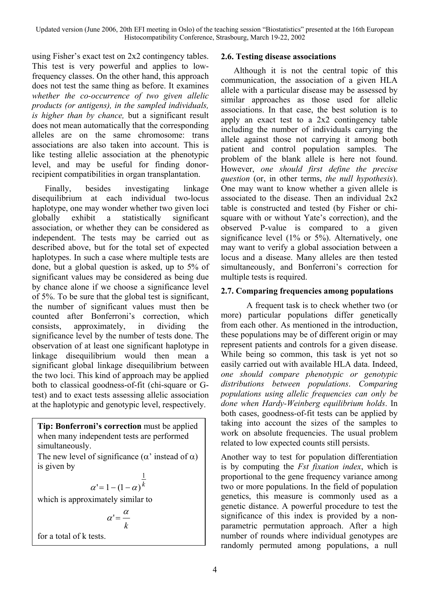using Fisher's exact test on 2x2 contingency tables. **2.6. Testing disease associations**  This test is very powerful and applies to lowfrequency classes. On the other hand, this approach does not test the same thing as before. It examines *whether the co-occurrence of two given allelic products (or antigens), in the sampled individuals, is higher than by chance,* but a significant result does not mean automatically that the corresponding alleles are on the same chromosome: trans associations are also taken into account. This is like testing allelic association at the phenotypic level, and may be useful for finding donorrecipient compatibilities in organ transplantation.

Finally, besides investigating linkage disequilibrium at each individual two-locus haplotype, one may wonder whether two given loci globally exhibit a statistically significant association, or whether they can be considered as independent. The tests may be carried out as described above, but for the total set of expected haplotypes. In such a case where multiple tests are done, but a global question is asked, up to 5% of significant values may be considered as being due by chance alone if we choose a significance level of 5%. To be sure that the global test is significant, the number of significant values must then be counted after Bonferroni's correction, which consists, approximately, in dividing the significance level by the number of tests done. The observation of at least one significant haplotype in linkage disequilibrium would then mean a significant global linkage disequilibrium between the two loci. This kind of approach may be applied both to classical goodness-of-fit (chi-square or Gtest) and to exact tests assessing allelic association at the haplotypic and genotypic level, respectively.

**Tip: Bonferroni's correction** must be applied when many independent tests are performed simultaneously.

The new level of significance ( $\alpha'$  instead of  $\alpha$ ) is given by

$$
\alpha' = 1 - (1 - \alpha)^{\frac{1}{k}}
$$

which is approximately similar to

$$
\alpha' = \frac{\alpha}{k}
$$

for a total of k tests.

Although it is not the central topic of this communication, the association of a given HLA allele with a particular disease may be assessed by similar approaches as those used for allelic associations. In that case, the best solution is to apply an exact test to a 2x2 contingency table including the number of individuals carrying the allele against those not carrying it among both patient and control population samples. The problem of the blank allele is here not found. However, *one should first define the precise question* (or, in other terms, *the null hypothesis*). One may want to know whether a given allele is associated to the disease. Then an individual 2x2 table is constructed and tested (by Fisher or chisquare with or without Yate's correction), and the observed P-value is compared to a given significance level (1% or 5%). Alternatively, one may want to verify a global association between a locus and a disease. Many alleles are then tested simultaneously, and Bonferroni's correction for multiple tests is required.

## **2.7. Comparing frequencies among populations**

A frequent task is to check whether two (or more) particular populations differ genetically from each other. As mentioned in the introduction, these populations may be of different origin or may represent patients and controls for a given disease. While being so common, this task is yet not so easily carried out with available HLA data. Indeed, *one should compare phenotypic or genotypic distributions between populations*. *Comparing populations using allelic frequencies can only be done when Hardy-Weinberg equilibrium holds*. In both cases, goodness-of-fit tests can be applied by taking into account the sizes of the samples to work on absolute frequencies. The usual problem related to low expected counts still persists.

Another way to test for population differentiation is by computing the *Fst fixation index*, which is proportional to the gene frequency variance among two or more populations. In the field of population genetics, this measure is commonly used as a genetic distance. A powerful procedure to test the significance of this index is provided by a nonparametric permutation approach. After a high number of rounds where individual genotypes are randomly permuted among populations, a null